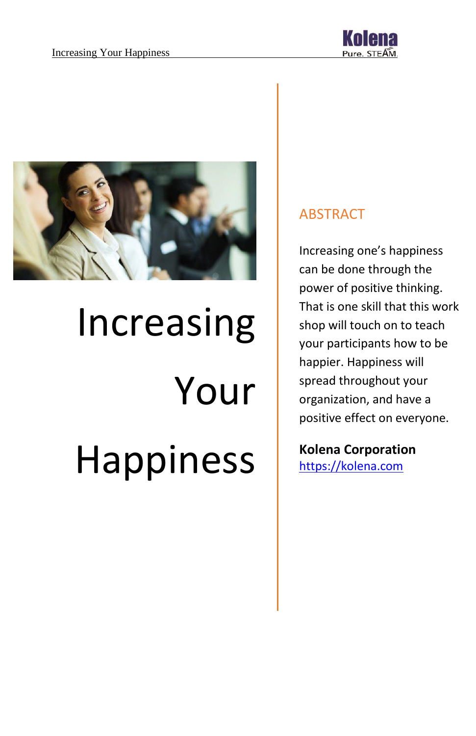



# Increasing Your Happiness

#### ABSTRACT

Increasing one's happiness can be done through the power of positive thinking. That is one skill that this work shop will touch on to teach your participants how to be happier. Happiness will spread throughout your organization, and have a positive effect on everyone.

**Kolena Corporation** [https://kolena.com](https://kolena.com/)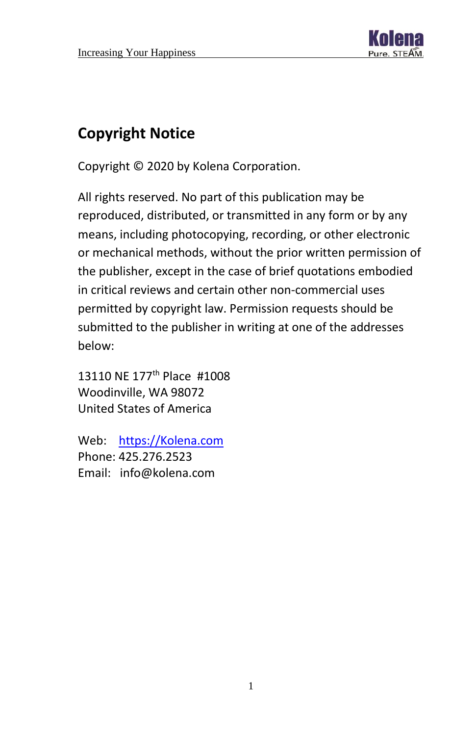

# **Copyright Notice**

Copyright © 2020 by Kolena Corporation.

All rights reserved. No part of this publication may be reproduced, distributed, or transmitted in any form or by any means, including photocopying, recording, or other electronic or mechanical methods, without the prior written permission of the publisher, except in the case of brief quotations embodied in critical reviews and certain other non-commercial uses permitted by copyright law. Permission requests should be submitted to the publisher in writing at one of the addresses below:

13110 NE 177<sup>th</sup> Place #1008 Woodinville, WA 98072 United States of America

Web: [https://Kolena.com](https://kolena.com/) Phone: 425.276.2523 Email: info@kolena.com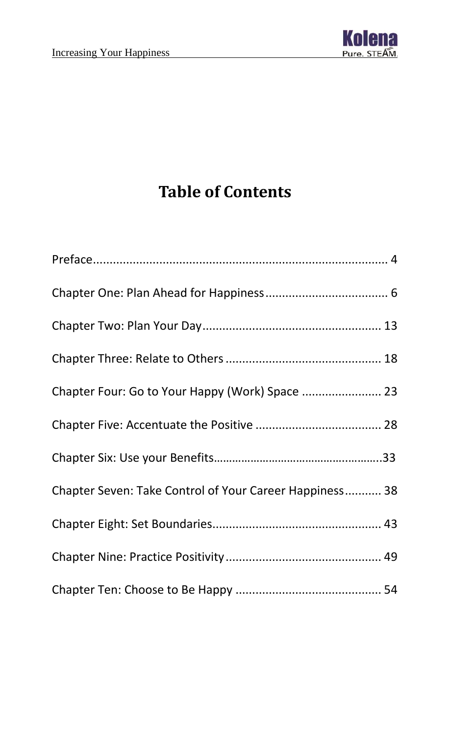

# **Table of Contents**

| Chapter Four: Go to Your Happy (Work) Space  23         |  |
|---------------------------------------------------------|--|
|                                                         |  |
|                                                         |  |
| Chapter Seven: Take Control of Your Career Happiness 38 |  |
|                                                         |  |
|                                                         |  |
|                                                         |  |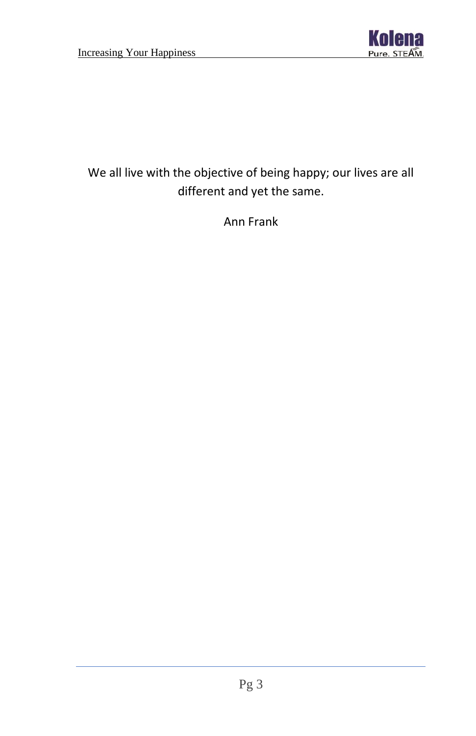

## We all live with the objective of being happy; our lives are all different and yet the same.

Ann Frank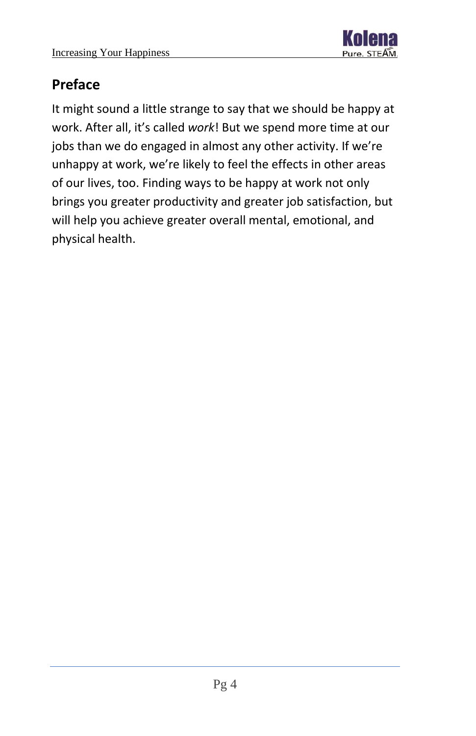

## <span id="page-4-0"></span>**Preface**

It might sound a little strange to say that we should be happy at work. After all, it's called *work*! But we spend more time at our jobs than we do engaged in almost any other activity. If we're unhappy at work, we're likely to feel the effects in other areas of our lives, too. Finding ways to be happy at work not only brings you greater productivity and greater job satisfaction, but will help you achieve greater overall mental, emotional, and physical health.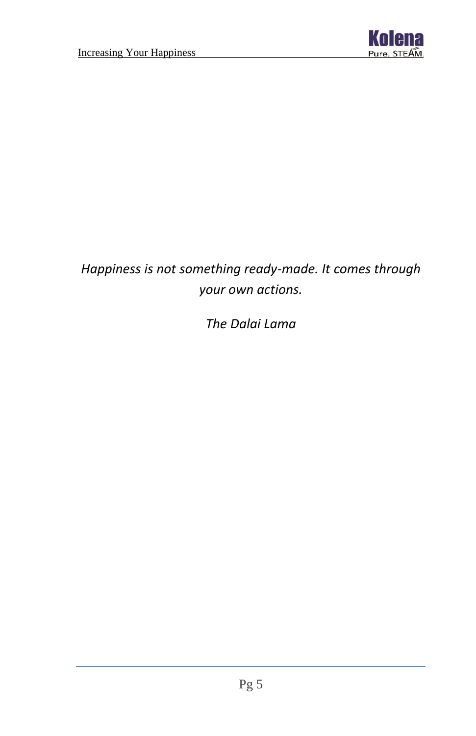

# *Happiness is not something ready-made. It comes through your own actions.*

## *The Dalai Lama*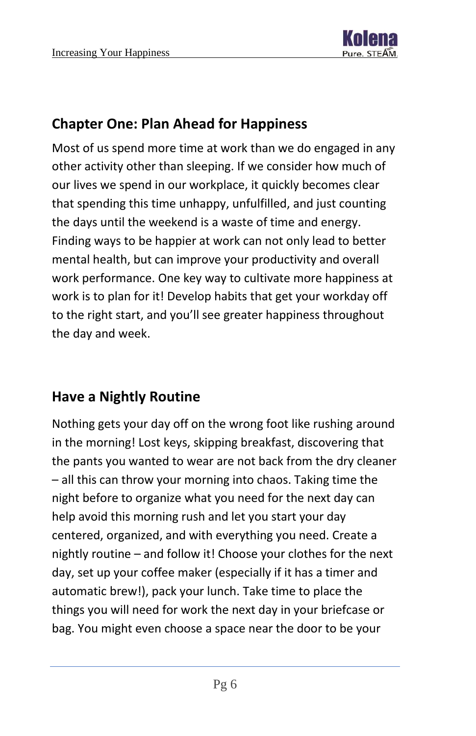

#### <span id="page-6-0"></span>**Chapter One: Plan Ahead for Happiness**

Most of us spend more time at work than we do engaged in any other activity other than sleeping. If we consider how much of our lives we spend in our workplace, it quickly becomes clear that spending this time unhappy, unfulfilled, and just counting the days until the weekend is a waste of time and energy. Finding ways to be happier at work can not only lead to better mental health, but can improve your productivity and overall work performance. One key way to cultivate more happiness at work is to plan for it! Develop habits that get your workday off to the right start, and you'll see greater happiness throughout the day and week.

#### **Have a Nightly Routine**

Nothing gets your day off on the wrong foot like rushing around in the morning! Lost keys, skipping breakfast, discovering that the pants you wanted to wear are not back from the dry cleaner – all this can throw your morning into chaos. Taking time the night before to organize what you need for the next day can help avoid this morning rush and let you start your day centered, organized, and with everything you need. Create a nightly routine – and follow it! Choose your clothes for the next day, set up your coffee maker (especially if it has a timer and automatic brew!), pack your lunch. Take time to place the things you will need for work the next day in your briefcase or bag. You might even choose a space near the door to be your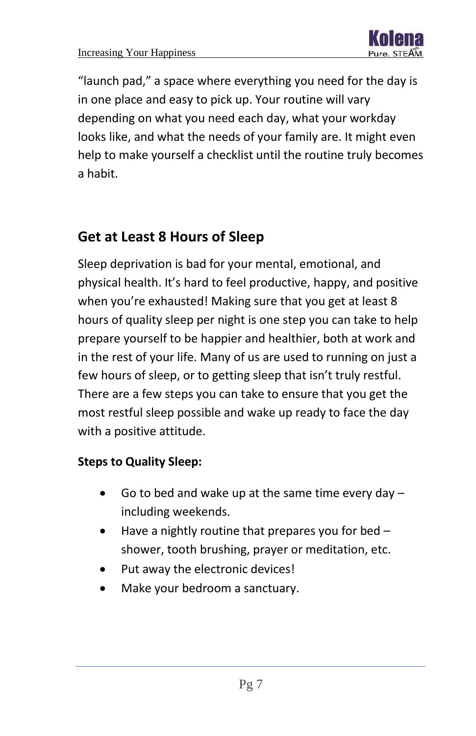

"launch pad," a space where everything you need for the day is in one place and easy to pick up. Your routine will vary depending on what you need each day, what your workday looks like, and what the needs of your family are. It might even help to make yourself a checklist until the routine truly becomes a habit.

## **Get at Least 8 Hours of Sleep**

Sleep deprivation is bad for your mental, emotional, and physical health. It's hard to feel productive, happy, and positive when you're exhausted! Making sure that you get at least 8 hours of quality sleep per night is one step you can take to help prepare yourself to be happier and healthier, both at work and in the rest of your life. Many of us are used to running on just a few hours of sleep, or to getting sleep that isn't truly restful. There are a few steps you can take to ensure that you get the most restful sleep possible and wake up ready to face the day with a positive attitude.

#### **Steps to Quality Sleep:**

- Go to bed and wake up at the same time every day  $$ including weekends.
- Have a nightly routine that prepares you for bed  $$ shower, tooth brushing, prayer or meditation, etc.
- Put away the electronic devices!
- Make your bedroom a sanctuary.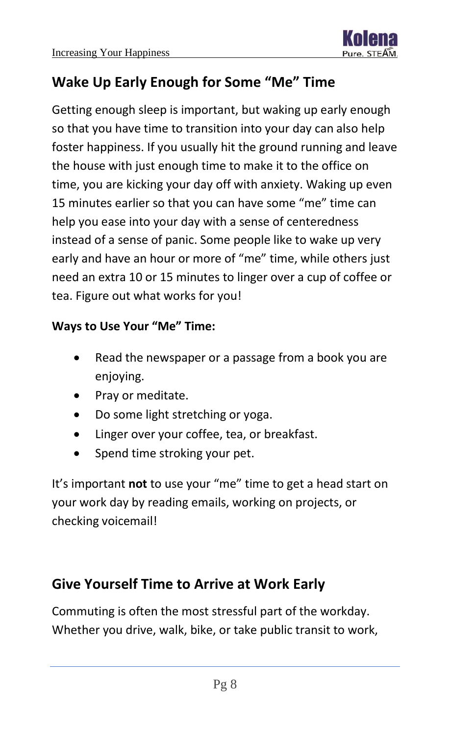

## **Wake Up Early Enough for Some "Me" Time**

Getting enough sleep is important, but waking up early enough so that you have time to transition into your day can also help foster happiness. If you usually hit the ground running and leave the house with just enough time to make it to the office on time, you are kicking your day off with anxiety. Waking up even 15 minutes earlier so that you can have some "me" time can help you ease into your day with a sense of centeredness instead of a sense of panic. Some people like to wake up very early and have an hour or more of "me" time, while others just need an extra 10 or 15 minutes to linger over a cup of coffee or tea. Figure out what works for you!

#### **Ways to Use Your "Me" Time:**

- Read the newspaper or a passage from a book you are enjoying.
- Pray or meditate.
- Do some light stretching or yoga.
- Linger over your coffee, tea, or breakfast.
- Spend time stroking your pet.

It's important **not** to use your "me" time to get a head start on your work day by reading emails, working on projects, or checking voicemail!

## **Give Yourself Time to Arrive at Work Early**

Commuting is often the most stressful part of the workday. Whether you drive, walk, bike, or take public transit to work,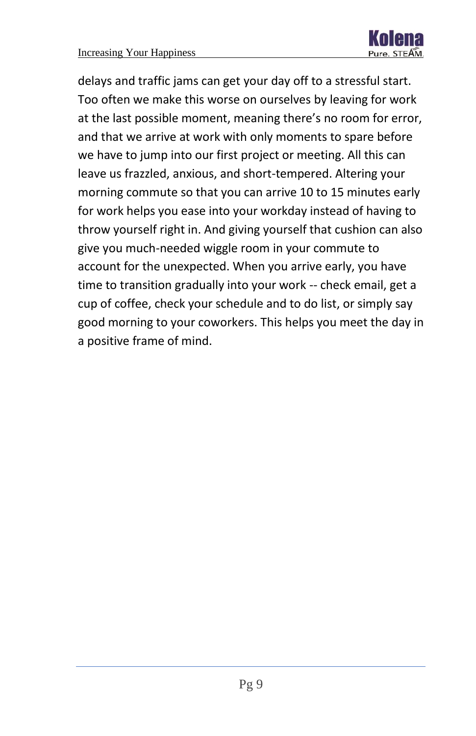

delays and traffic jams can get your day off to a stressful start. Too often we make this worse on ourselves by leaving for work at the last possible moment, meaning there's no room for error, and that we arrive at work with only moments to spare before we have to jump into our first project or meeting. All this can leave us frazzled, anxious, and short-tempered. Altering your morning commute so that you can arrive 10 to 15 minutes early for work helps you ease into your workday instead of having to throw yourself right in. And giving yourself that cushion can also give you much-needed wiggle room in your commute to account for the unexpected. When you arrive early, you have time to transition gradually into your work -- check email, get a cup of coffee, check your schedule and to do list, or simply say good morning to your coworkers. This helps you meet the day in a positive frame of mind.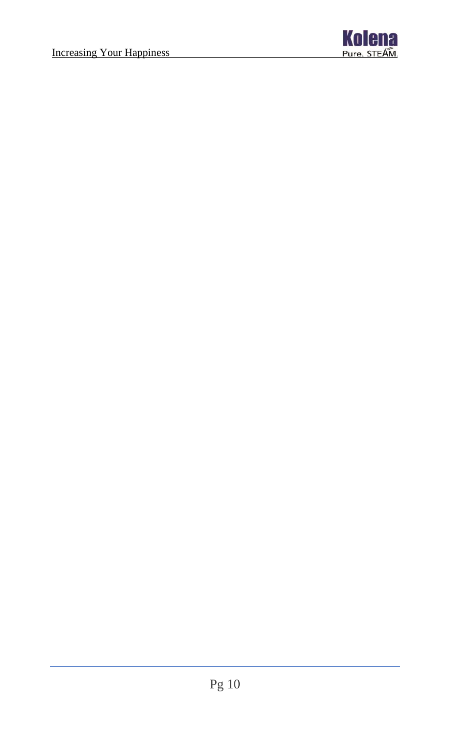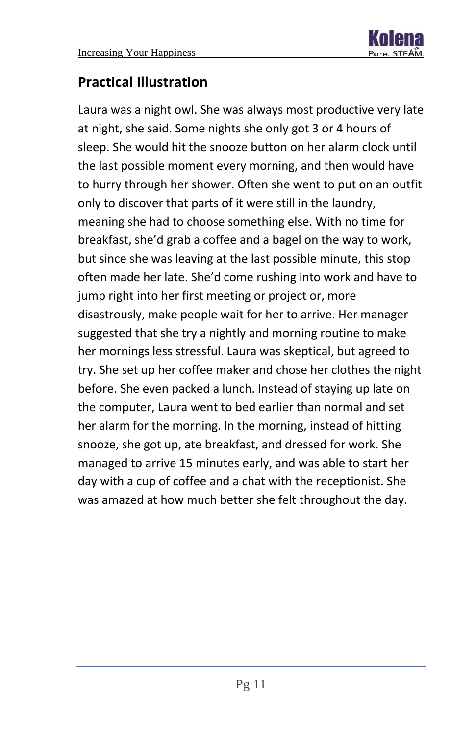

## **Practical Illustration**

Laura was a night owl. She was always most productive very late at night, she said. Some nights she only got 3 or 4 hours of sleep. She would hit the snooze button on her alarm clock until the last possible moment every morning, and then would have to hurry through her shower. Often she went to put on an outfit only to discover that parts of it were still in the laundry, meaning she had to choose something else. With no time for breakfast, she'd grab a coffee and a bagel on the way to work, but since she was leaving at the last possible minute, this stop often made her late. She'd come rushing into work and have to jump right into her first meeting or project or, more disastrously, make people wait for her to arrive. Her manager suggested that she try a nightly and morning routine to make her mornings less stressful. Laura was skeptical, but agreed to try. She set up her coffee maker and chose her clothes the night before. She even packed a lunch. Instead of staying up late on the computer, Laura went to bed earlier than normal and set her alarm for the morning. In the morning, instead of hitting snooze, she got up, ate breakfast, and dressed for work. She managed to arrive 15 minutes early, and was able to start her day with a cup of coffee and a chat with the receptionist. She was amazed at how much better she felt throughout the day.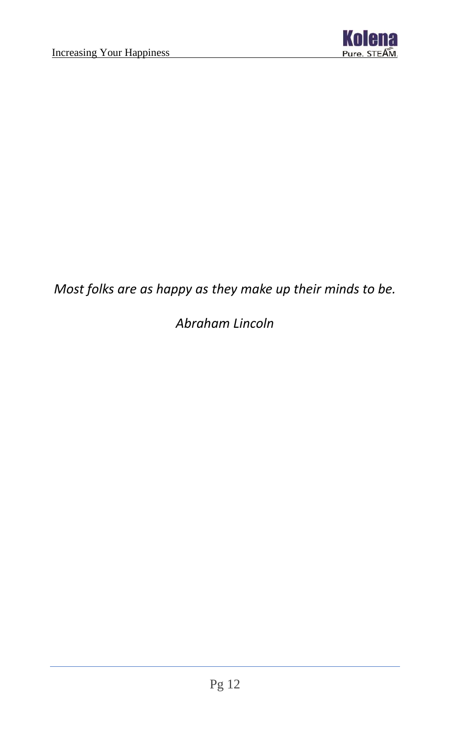

## *Most folks are as happy as they make up their minds to be.*

## *Abraham Lincoln*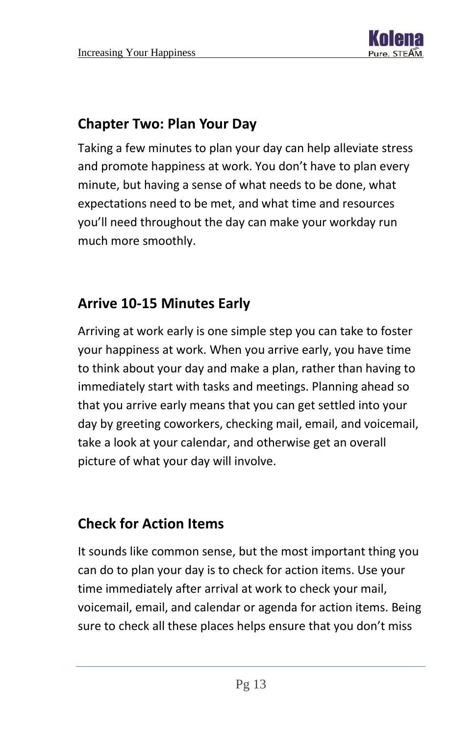

## <span id="page-13-0"></span>**Chapter Two: Plan Your Day**

Taking a few minutes to plan your day can help alleviate stress and promote happiness at work. You don't have to plan every minute, but having a sense of what needs to be done, what expectations need to be met, and what time and resources you'll need throughout the day can make your workday run much more smoothly.

## **Arrive 10-15 Minutes Early**

Arriving at work early is one simple step you can take to foster your happiness at work. When you arrive early, you have time to think about your day and make a plan, rather than having to immediately start with tasks and meetings. Planning ahead so that you arrive early means that you can get settled into your day by greeting coworkers, checking mail, email, and voicemail, take a look at your calendar, and otherwise get an overall picture of what your day will involve.

#### **Check for Action Items**

It sounds like common sense, but the most important thing you can do to plan your day is to check for action items. Use your time immediately after arrival at work to check your mail, voicemail, email, and calendar or agenda for action items. Being sure to check all these places helps ensure that you don't miss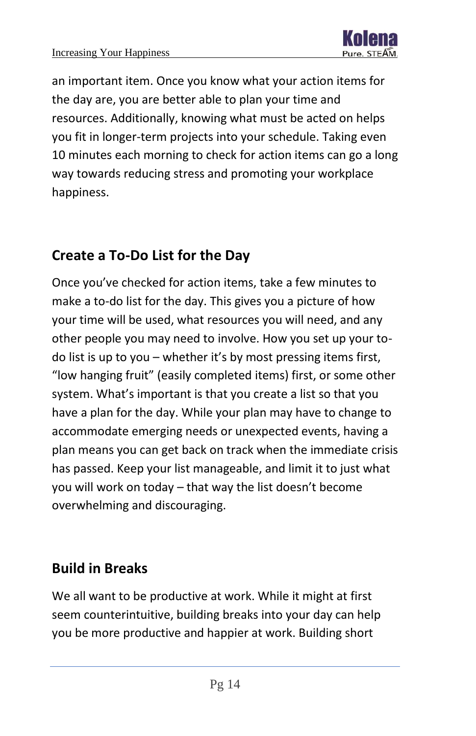

an important item. Once you know what your action items for the day are, you are better able to plan your time and resources. Additionally, knowing what must be acted on helps you fit in longer-term projects into your schedule. Taking even 10 minutes each morning to check for action items can go a long way towards reducing stress and promoting your workplace happiness.

## **Create a To-Do List for the Day**

Once you've checked for action items, take a few minutes to make a to-do list for the day. This gives you a picture of how your time will be used, what resources you will need, and any other people you may need to involve. How you set up your todo list is up to you – whether it's by most pressing items first, "low hanging fruit" (easily completed items) first, or some other system. What's important is that you create a list so that you have a plan for the day. While your plan may have to change to accommodate emerging needs or unexpected events, having a plan means you can get back on track when the immediate crisis has passed. Keep your list manageable, and limit it to just what you will work on today – that way the list doesn't become overwhelming and discouraging.

## **Build in Breaks**

We all want to be productive at work. While it might at first seem counterintuitive, building breaks into your day can help you be more productive and happier at work. Building short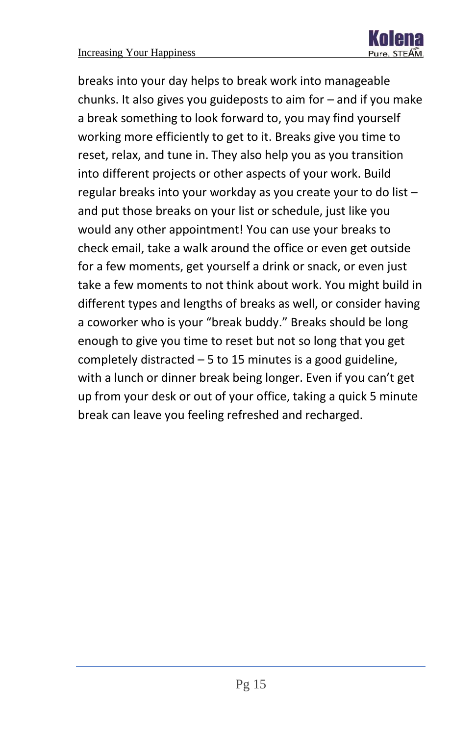

breaks into your day helps to break work into manageable chunks. It also gives you guideposts to aim for – and if you make a break something to look forward to, you may find yourself working more efficiently to get to it. Breaks give you time to reset, relax, and tune in. They also help you as you transition into different projects or other aspects of your work. Build regular breaks into your workday as you create your to do list – and put those breaks on your list or schedule, just like you would any other appointment! You can use your breaks to check email, take a walk around the office or even get outside for a few moments, get yourself a drink or snack, or even just take a few moments to not think about work. You might build in different types and lengths of breaks as well, or consider having a coworker who is your "break buddy." Breaks should be long enough to give you time to reset but not so long that you get completely distracted  $-5$  to 15 minutes is a good guideline, with a lunch or dinner break being longer. Even if you can't get up from your desk or out of your office, taking a quick 5 minute break can leave you feeling refreshed and recharged.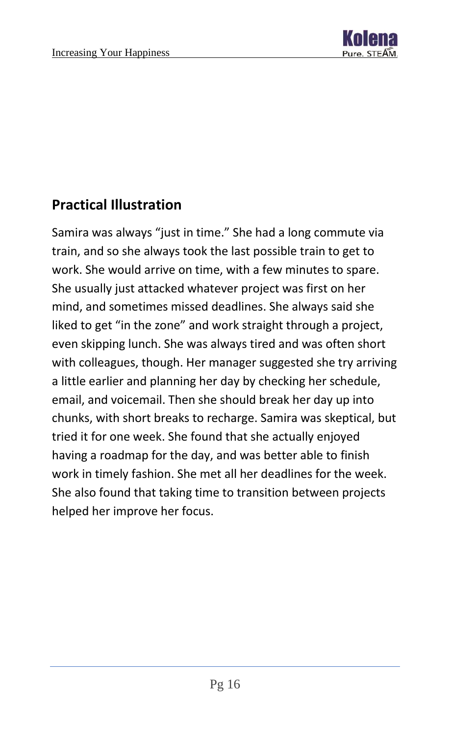

## **Practical Illustration**

Samira was always "just in time." She had a long commute via train, and so she always took the last possible train to get to work. She would arrive on time, with a few minutes to spare. She usually just attacked whatever project was first on her mind, and sometimes missed deadlines. She always said she liked to get "in the zone" and work straight through a project, even skipping lunch. She was always tired and was often short with colleagues, though. Her manager suggested she try arriving a little earlier and planning her day by checking her schedule, email, and voicemail. Then she should break her day up into chunks, with short breaks to recharge. Samira was skeptical, but tried it for one week. She found that she actually enjoyed having a roadmap for the day, and was better able to finish work in timely fashion. She met all her deadlines for the week. She also found that taking time to transition between projects helped her improve her focus.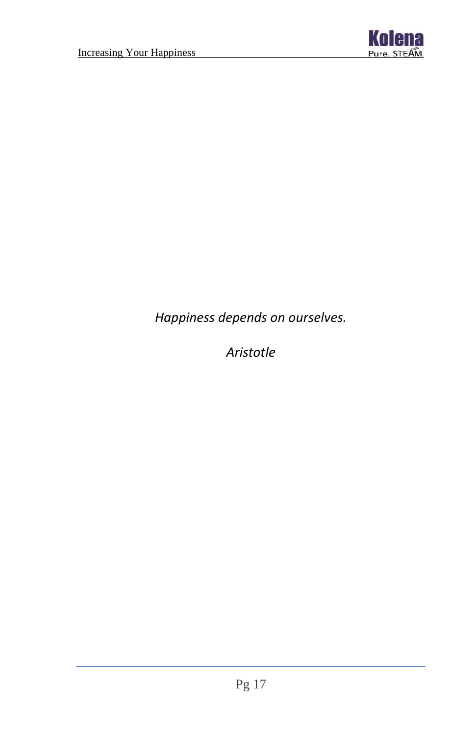

*Happiness depends on ourselves.*

*Aristotle*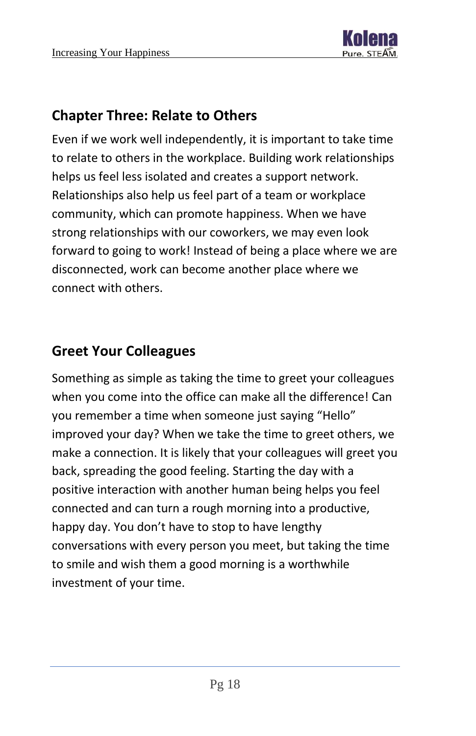

## <span id="page-18-0"></span>**Chapter Three: Relate to Others**

Even if we work well independently, it is important to take time to relate to others in the workplace. Building work relationships helps us feel less isolated and creates a support network. Relationships also help us feel part of a team or workplace community, which can promote happiness. When we have strong relationships with our coworkers, we may even look forward to going to work! Instead of being a place where we are disconnected, work can become another place where we connect with others.

## **Greet Your Colleagues**

Something as simple as taking the time to greet your colleagues when you come into the office can make all the difference! Can you remember a time when someone just saying "Hello" improved your day? When we take the time to greet others, we make a connection. It is likely that your colleagues will greet you back, spreading the good feeling. Starting the day with a positive interaction with another human being helps you feel connected and can turn a rough morning into a productive, happy day. You don't have to stop to have lengthy conversations with every person you meet, but taking the time to smile and wish them a good morning is a worthwhile investment of your time.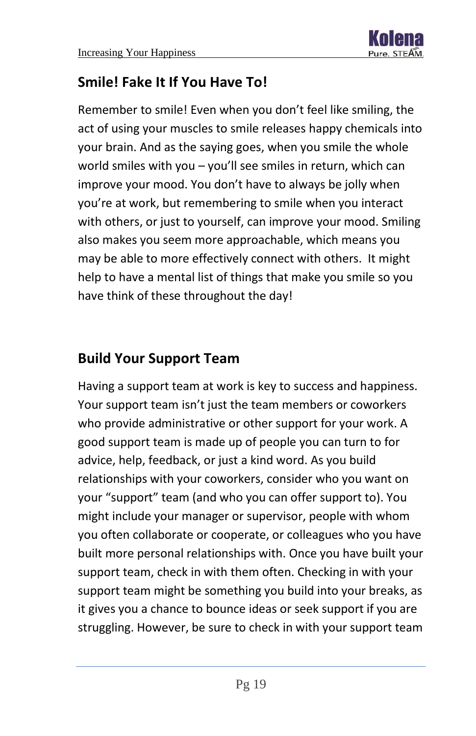

## **Smile! Fake It If You Have To!**

Remember to smile! Even when you don't feel like smiling, the act of using your muscles to smile releases happy chemicals into your brain. And as the saying goes, when you smile the whole world smiles with you – you'll see smiles in return, which can improve your mood. You don't have to always be jolly when you're at work, but remembering to smile when you interact with others, or just to yourself, can improve your mood. Smiling also makes you seem more approachable, which means you may be able to more effectively connect with others. It might help to have a mental list of things that make you smile so you have think of these throughout the day!

#### **Build Your Support Team**

Having a support team at work is key to success and happiness. Your support team isn't just the team members or coworkers who provide administrative or other support for your work. A good support team is made up of people you can turn to for advice, help, feedback, or just a kind word. As you build relationships with your coworkers, consider who you want on your "support" team (and who you can offer support to). You might include your manager or supervisor, people with whom you often collaborate or cooperate, or colleagues who you have built more personal relationships with. Once you have built your support team, check in with them often. Checking in with your support team might be something you build into your breaks, as it gives you a chance to bounce ideas or seek support if you are struggling. However, be sure to check in with your support team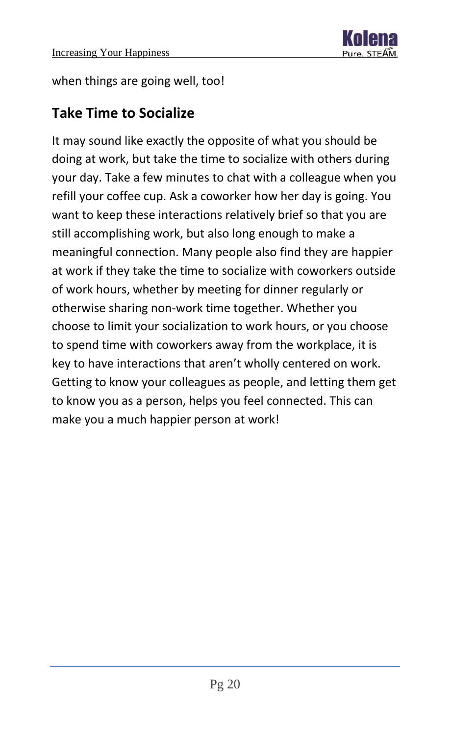

when things are going well, too!

#### **Take Time to Socialize**

It may sound like exactly the opposite of what you should be doing at work, but take the time to socialize with others during your day. Take a few minutes to chat with a colleague when you refill your coffee cup. Ask a coworker how her day is going. You want to keep these interactions relatively brief so that you are still accomplishing work, but also long enough to make a meaningful connection. Many people also find they are happier at work if they take the time to socialize with coworkers outside of work hours, whether by meeting for dinner regularly or otherwise sharing non-work time together. Whether you choose to limit your socialization to work hours, or you choose to spend time with coworkers away from the workplace, it is key to have interactions that aren't wholly centered on work. Getting to know your colleagues as people, and letting them get to know you as a person, helps you feel connected. This can make you a much happier person at work!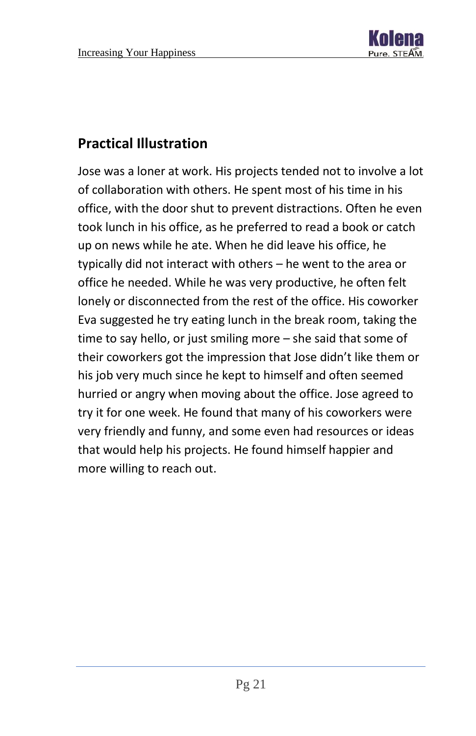

## **Practical Illustration**

Jose was a loner at work. His projects tended not to involve a lot of collaboration with others. He spent most of his time in his office, with the door shut to prevent distractions. Often he even took lunch in his office, as he preferred to read a book or catch up on news while he ate. When he did leave his office, he typically did not interact with others – he went to the area or office he needed. While he was very productive, he often felt lonely or disconnected from the rest of the office. His coworker Eva suggested he try eating lunch in the break room, taking the time to say hello, or just smiling more – she said that some of their coworkers got the impression that Jose didn't like them or his job very much since he kept to himself and often seemed hurried or angry when moving about the office. Jose agreed to try it for one week. He found that many of his coworkers were very friendly and funny, and some even had resources or ideas that would help his projects. He found himself happier and more willing to reach out.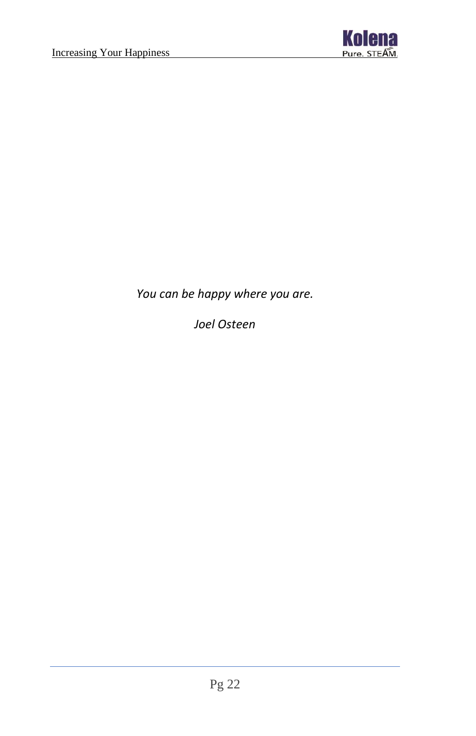

*You can be happy where you are.*

*Joel Osteen*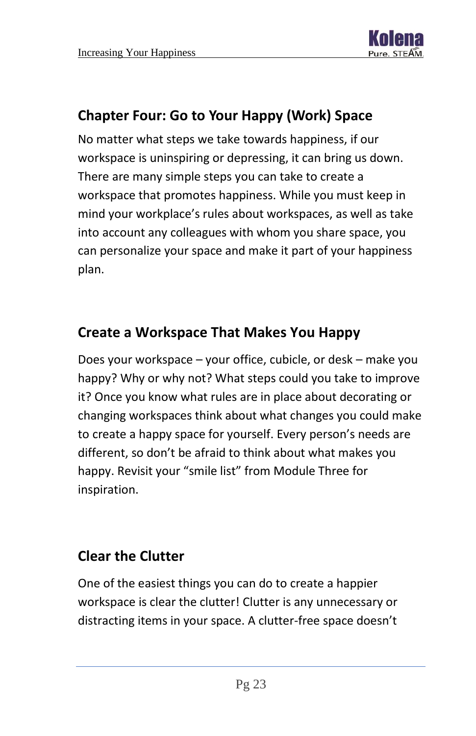

#### <span id="page-23-0"></span>**Chapter Four: Go to Your Happy (Work) Space**

No matter what steps we take towards happiness, if our workspace is uninspiring or depressing, it can bring us down. There are many simple steps you can take to create a workspace that promotes happiness. While you must keep in mind your workplace's rules about workspaces, as well as take into account any colleagues with whom you share space, you can personalize your space and make it part of your happiness plan.

#### **Create a Workspace That Makes You Happy**

Does your workspace – your office, cubicle, or desk – make you happy? Why or why not? What steps could you take to improve it? Once you know what rules are in place about decorating or changing workspaces think about what changes you could make to create a happy space for yourself. Every person's needs are different, so don't be afraid to think about what makes you happy. Revisit your "smile list" from Module Three for inspiration.

## **Clear the Clutter**

One of the easiest things you can do to create a happier workspace is clear the clutter! Clutter is any unnecessary or distracting items in your space. A clutter-free space doesn't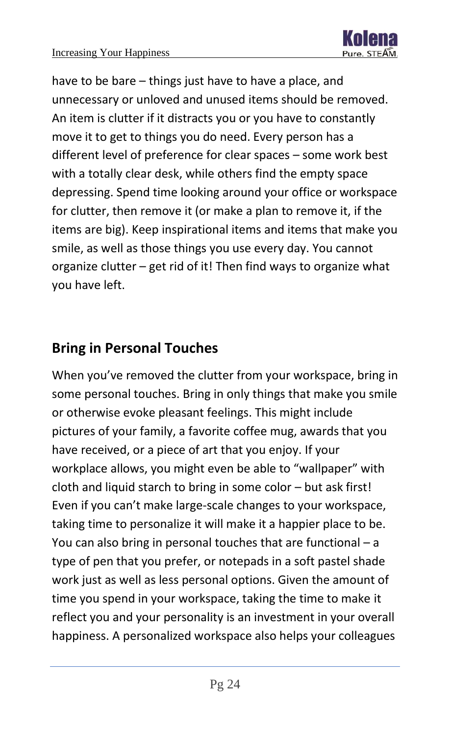

have to be bare – things just have to have a place, and unnecessary or unloved and unused items should be removed. An item is clutter if it distracts you or you have to constantly move it to get to things you do need. Every person has a different level of preference for clear spaces – some work best with a totally clear desk, while others find the empty space depressing. Spend time looking around your office or workspace for clutter, then remove it (or make a plan to remove it, if the items are big). Keep inspirational items and items that make you smile, as well as those things you use every day. You cannot organize clutter – get rid of it! Then find ways to organize what you have left.

## **Bring in Personal Touches**

When you've removed the clutter from your workspace, bring in some personal touches. Bring in only things that make you smile or otherwise evoke pleasant feelings. This might include pictures of your family, a favorite coffee mug, awards that you have received, or a piece of art that you enjoy. If your workplace allows, you might even be able to "wallpaper" with cloth and liquid starch to bring in some color – but ask first! Even if you can't make large-scale changes to your workspace, taking time to personalize it will make it a happier place to be. You can also bring in personal touches that are functional – a type of pen that you prefer, or notepads in a soft pastel shade work just as well as less personal options. Given the amount of time you spend in your workspace, taking the time to make it reflect you and your personality is an investment in your overall happiness. A personalized workspace also helps your colleagues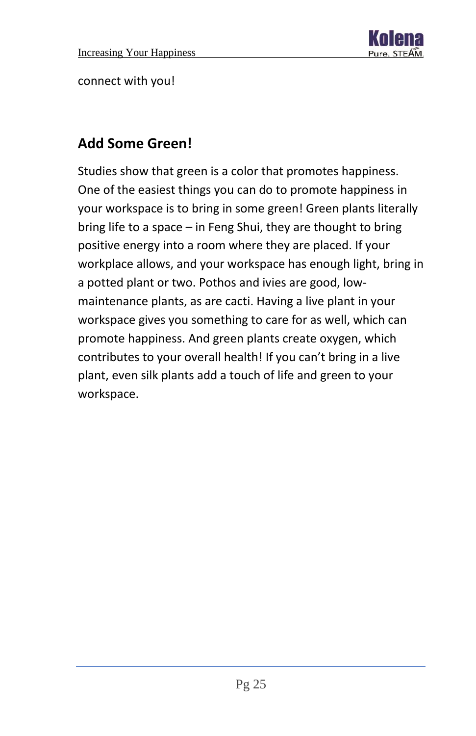

connect with you!

#### **Add Some Green!**

Studies show that green is a color that promotes happiness. One of the easiest things you can do to promote happiness in your workspace is to bring in some green! Green plants literally bring life to a space – in Feng Shui, they are thought to bring positive energy into a room where they are placed. If your workplace allows, and your workspace has enough light, bring in a potted plant or two. Pothos and ivies are good, lowmaintenance plants, as are cacti. Having a live plant in your workspace gives you something to care for as well, which can promote happiness. And green plants create oxygen, which contributes to your overall health! If you can't bring in a live plant, even silk plants add a touch of life and green to your workspace.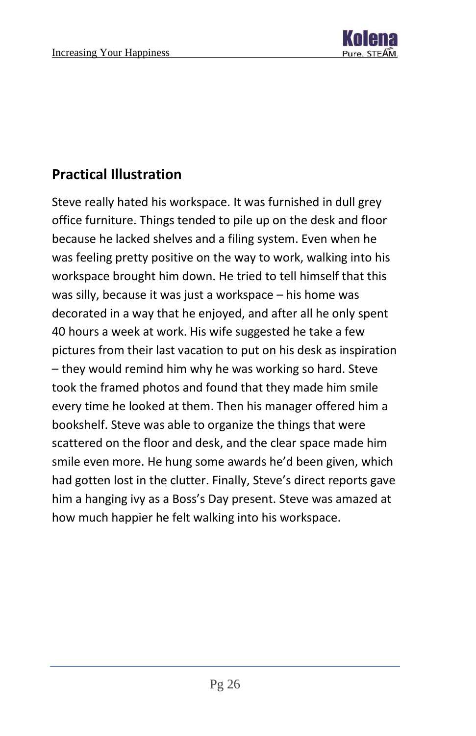

## **Practical Illustration**

Steve really hated his workspace. It was furnished in dull grey office furniture. Things tended to pile up on the desk and floor because he lacked shelves and a filing system. Even when he was feeling pretty positive on the way to work, walking into his workspace brought him down. He tried to tell himself that this was silly, because it was just a workspace – his home was decorated in a way that he enjoyed, and after all he only spent 40 hours a week at work. His wife suggested he take a few pictures from their last vacation to put on his desk as inspiration – they would remind him why he was working so hard. Steve took the framed photos and found that they made him smile every time he looked at them. Then his manager offered him a bookshelf. Steve was able to organize the things that were scattered on the floor and desk, and the clear space made him smile even more. He hung some awards he'd been given, which had gotten lost in the clutter. Finally, Steve's direct reports gave him a hanging ivy as a Boss's Day present. Steve was amazed at how much happier he felt walking into his workspace.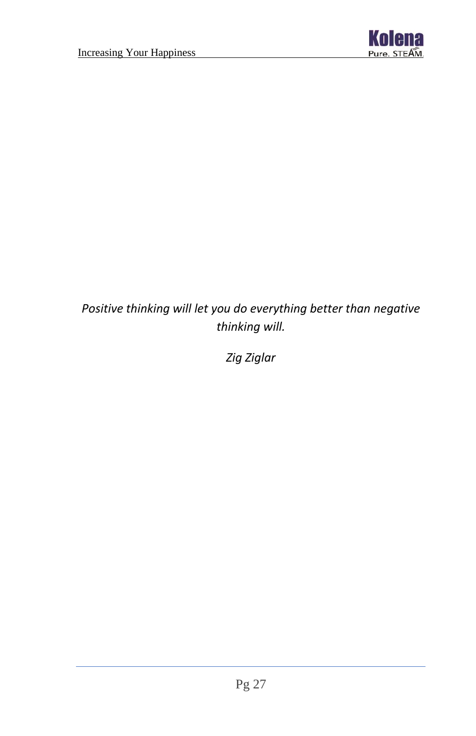

## *Positive thinking will let you do everything better than negative thinking will.*

*Zig Ziglar*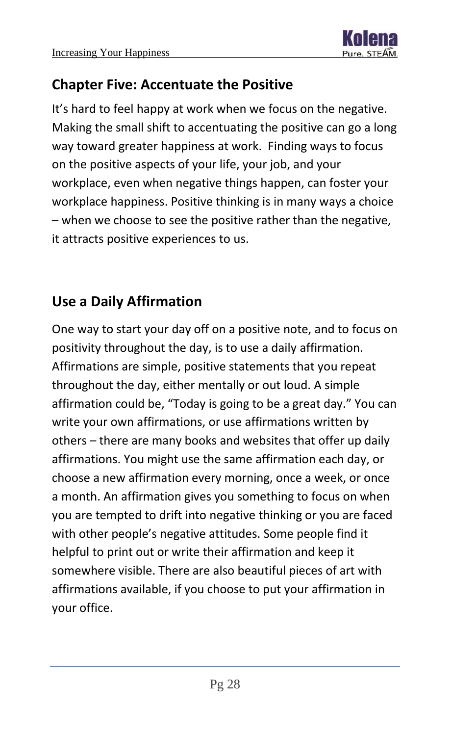

#### <span id="page-28-0"></span>**Chapter Five: Accentuate the Positive**

It's hard to feel happy at work when we focus on the negative. Making the small shift to accentuating the positive can go a long way toward greater happiness at work. Finding ways to focus on the positive aspects of your life, your job, and your workplace, even when negative things happen, can foster your workplace happiness. Positive thinking is in many ways a choice – when we choose to see the positive rather than the negative, it attracts positive experiences to us.

## **Use a Daily Affirmation**

One way to start your day off on a positive note, and to focus on positivity throughout the day, is to use a daily affirmation. Affirmations are simple, positive statements that you repeat throughout the day, either mentally or out loud. A simple affirmation could be, "Today is going to be a great day." You can write your own affirmations, or use affirmations written by others – there are many books and websites that offer up daily affirmations. You might use the same affirmation each day, or choose a new affirmation every morning, once a week, or once a month. An affirmation gives you something to focus on when you are tempted to drift into negative thinking or you are faced with other people's negative attitudes. Some people find it helpful to print out or write their affirmation and keep it somewhere visible. There are also beautiful pieces of art with affirmations available, if you choose to put your affirmation in your office.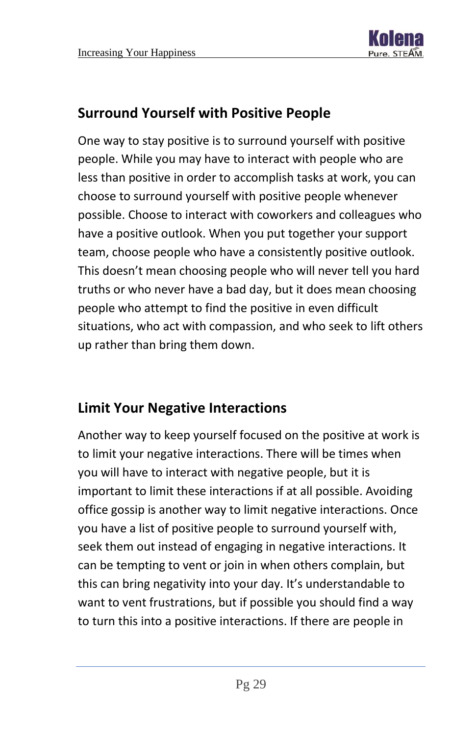

#### **Surround Yourself with Positive People**

One way to stay positive is to surround yourself with positive people. While you may have to interact with people who are less than positive in order to accomplish tasks at work, you can choose to surround yourself with positive people whenever possible. Choose to interact with coworkers and colleagues who have a positive outlook. When you put together your support team, choose people who have a consistently positive outlook. This doesn't mean choosing people who will never tell you hard truths or who never have a bad day, but it does mean choosing people who attempt to find the positive in even difficult situations, who act with compassion, and who seek to lift others up rather than bring them down.

## **Limit Your Negative Interactions**

Another way to keep yourself focused on the positive at work is to limit your negative interactions. There will be times when you will have to interact with negative people, but it is important to limit these interactions if at all possible. Avoiding office gossip is another way to limit negative interactions. Once you have a list of positive people to surround yourself with, seek them out instead of engaging in negative interactions. It can be tempting to vent or join in when others complain, but this can bring negativity into your day. It's understandable to want to vent frustrations, but if possible you should find a way to turn this into a positive interactions. If there are people in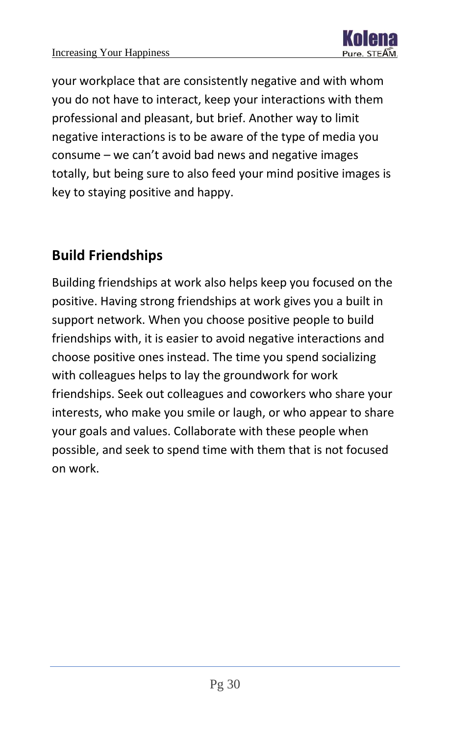

your workplace that are consistently negative and with whom you do not have to interact, keep your interactions with them professional and pleasant, but brief. Another way to limit negative interactions is to be aware of the type of media you consume – we can't avoid bad news and negative images totally, but being sure to also feed your mind positive images is key to staying positive and happy.

## **Build Friendships**

Building friendships at work also helps keep you focused on the positive. Having strong friendships at work gives you a built in support network. When you choose positive people to build friendships with, it is easier to avoid negative interactions and choose positive ones instead. The time you spend socializing with colleagues helps to lay the groundwork for work friendships. Seek out colleagues and coworkers who share your interests, who make you smile or laugh, or who appear to share your goals and values. Collaborate with these people when possible, and seek to spend time with them that is not focused on work.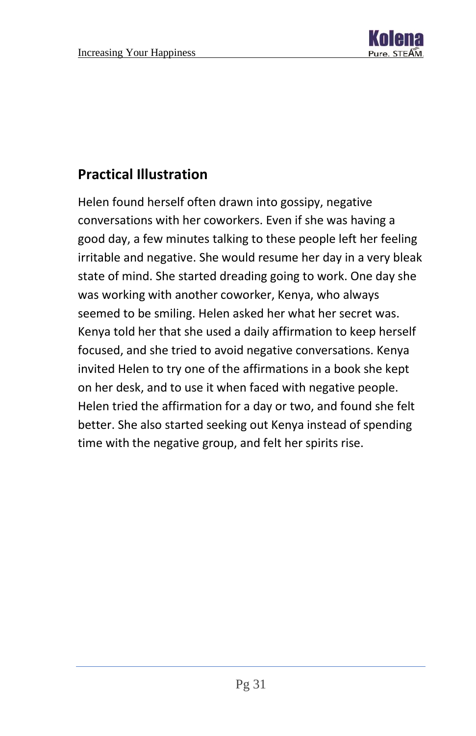

## **Practical Illustration**

Helen found herself often drawn into gossipy, negative conversations with her coworkers. Even if she was having a good day, a few minutes talking to these people left her feeling irritable and negative. She would resume her day in a very bleak state of mind. She started dreading going to work. One day she was working with another coworker, Kenya, who always seemed to be smiling. Helen asked her what her secret was. Kenya told her that she used a daily affirmation to keep herself focused, and she tried to avoid negative conversations. Kenya invited Helen to try one of the affirmations in a book she kept on her desk, and to use it when faced with negative people. Helen tried the affirmation for a day or two, and found she felt better. She also started seeking out Kenya instead of spending time with the negative group, and felt her spirits rise.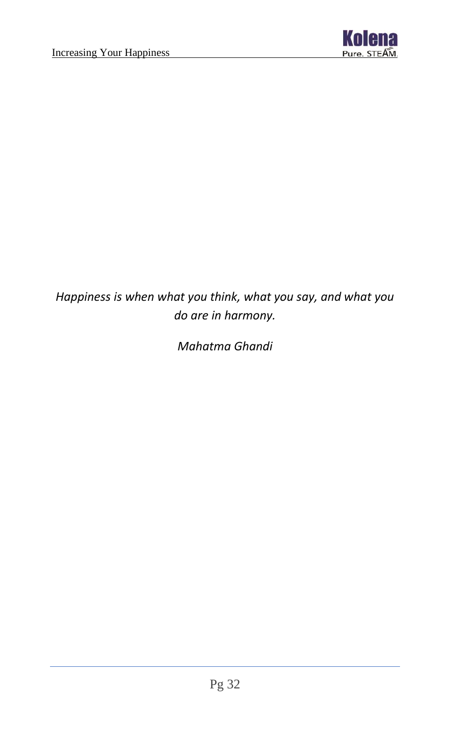

## *Happiness is when what you think, what you say, and what you do are in harmony.*

*Mahatma Ghandi*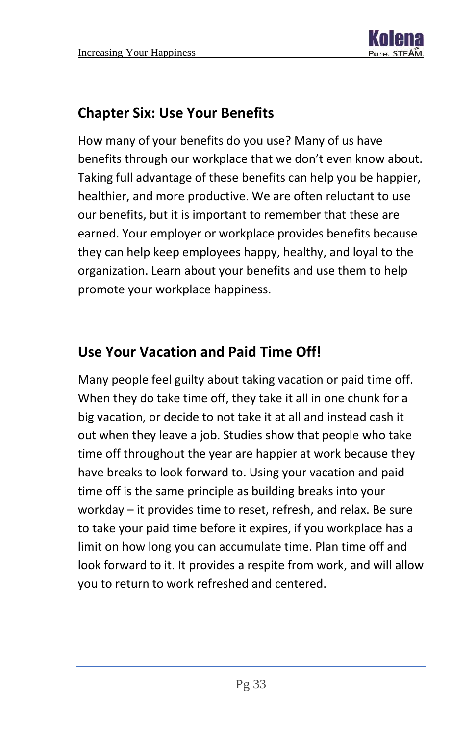

## **Chapter Six: Use Your Benefits**

How many of your benefits do you use? Many of us have benefits through our workplace that we don't even know about. Taking full advantage of these benefits can help you be happier, healthier, and more productive. We are often reluctant to use our benefits, but it is important to remember that these are earned. Your employer or workplace provides benefits because they can help keep employees happy, healthy, and loyal to the organization. Learn about your benefits and use them to help promote your workplace happiness.

## **Use Your Vacation and Paid Time Off!**

Many people feel guilty about taking vacation or paid time off. When they do take time off, they take it all in one chunk for a big vacation, or decide to not take it at all and instead cash it out when they leave a job. Studies show that people who take time off throughout the year are happier at work because they have breaks to look forward to. Using your vacation and paid time off is the same principle as building breaks into your workday – it provides time to reset, refresh, and relax. Be sure to take your paid time before it expires, if you workplace has a limit on how long you can accumulate time. Plan time off and look forward to it. It provides a respite from work, and will allow you to return to work refreshed and centered.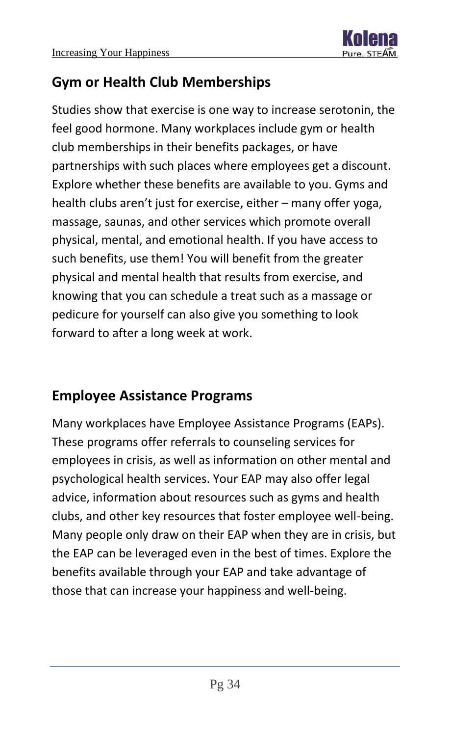

## **Gym or Health Club Memberships**

Studies show that exercise is one way to increase serotonin, the feel good hormone. Many workplaces include gym or health club memberships in their benefits packages, or have partnerships with such places where employees get a discount. Explore whether these benefits are available to you. Gyms and health clubs aren't just for exercise, either – many offer yoga, massage, saunas, and other services which promote overall physical, mental, and emotional health. If you have access to such benefits, use them! You will benefit from the greater physical and mental health that results from exercise, and knowing that you can schedule a treat such as a massage or pedicure for yourself can also give you something to look forward to after a long week at work.

## **Employee Assistance Programs**

Many workplaces have Employee Assistance Programs (EAPs). These programs offer referrals to counseling services for employees in crisis, as well as information on other mental and psychological health services. Your EAP may also offer legal advice, information about resources such as gyms and health clubs, and other key resources that foster employee well-being. Many people only draw on their EAP when they are in crisis, but the EAP can be leveraged even in the best of times. Explore the benefits available through your EAP and take advantage of those that can increase your happiness and well-being.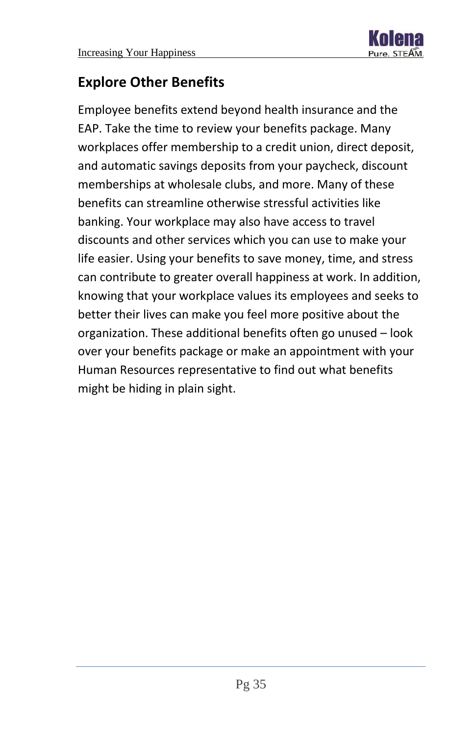

## **Explore Other Benefits**

Employee benefits extend beyond health insurance and the EAP. Take the time to review your benefits package. Many workplaces offer membership to a credit union, direct deposit, and automatic savings deposits from your paycheck, discount memberships at wholesale clubs, and more. Many of these benefits can streamline otherwise stressful activities like banking. Your workplace may also have access to travel discounts and other services which you can use to make your life easier. Using your benefits to save money, time, and stress can contribute to greater overall happiness at work. In addition, knowing that your workplace values its employees and seeks to better their lives can make you feel more positive about the organization. These additional benefits often go unused – look over your benefits package or make an appointment with your Human Resources representative to find out what benefits might be hiding in plain sight.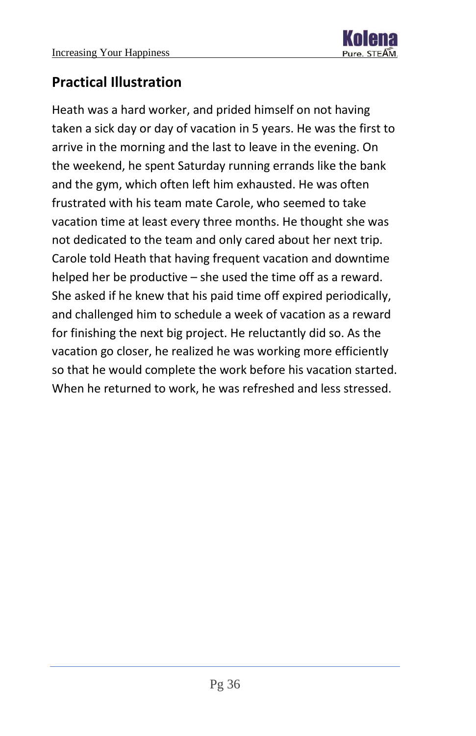

## **Practical Illustration**

Heath was a hard worker, and prided himself on not having taken a sick day or day of vacation in 5 years. He was the first to arrive in the morning and the last to leave in the evening. On the weekend, he spent Saturday running errands like the bank and the gym, which often left him exhausted. He was often frustrated with his team mate Carole, who seemed to take vacation time at least every three months. He thought she was not dedicated to the team and only cared about her next trip. Carole told Heath that having frequent vacation and downtime helped her be productive – she used the time off as a reward. She asked if he knew that his paid time off expired periodically, and challenged him to schedule a week of vacation as a reward for finishing the next big project. He reluctantly did so. As the vacation go closer, he realized he was working more efficiently so that he would complete the work before his vacation started. When he returned to work, he was refreshed and less stressed.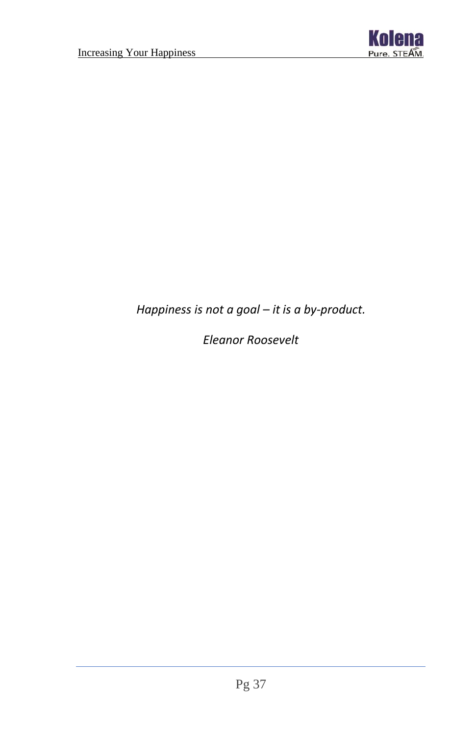

## *Happiness is not a goal – it is a by-product.*

## *Eleanor Roosevelt*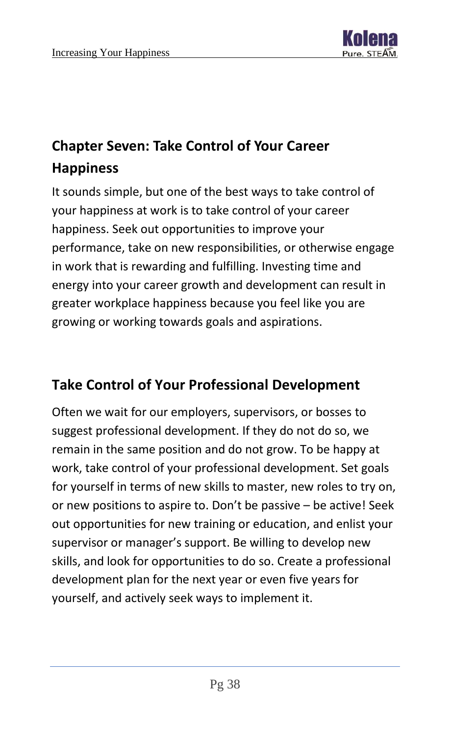

# <span id="page-38-0"></span>**Chapter Seven: Take Control of Your Career Happiness**

It sounds simple, but one of the best ways to take control of your happiness at work is to take control of your career happiness. Seek out opportunities to improve your performance, take on new responsibilities, or otherwise engage in work that is rewarding and fulfilling. Investing time and energy into your career growth and development can result in greater workplace happiness because you feel like you are growing or working towards goals and aspirations.

#### **Take Control of Your Professional Development**

Often we wait for our employers, supervisors, or bosses to suggest professional development. If they do not do so, we remain in the same position and do not grow. To be happy at work, take control of your professional development. Set goals for yourself in terms of new skills to master, new roles to try on, or new positions to aspire to. Don't be passive – be active! Seek out opportunities for new training or education, and enlist your supervisor or manager's support. Be willing to develop new skills, and look for opportunities to do so. Create a professional development plan for the next year or even five years for yourself, and actively seek ways to implement it.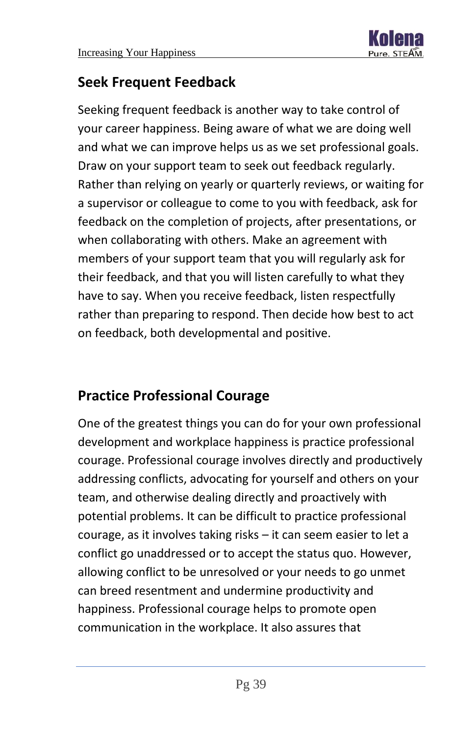

## **Seek Frequent Feedback**

Seeking frequent feedback is another way to take control of your career happiness. Being aware of what we are doing well and what we can improve helps us as we set professional goals. Draw on your support team to seek out feedback regularly. Rather than relying on yearly or quarterly reviews, or waiting for a supervisor or colleague to come to you with feedback, ask for feedback on the completion of projects, after presentations, or when collaborating with others. Make an agreement with members of your support team that you will regularly ask for their feedback, and that you will listen carefully to what they have to say. When you receive feedback, listen respectfully rather than preparing to respond. Then decide how best to act on feedback, both developmental and positive.

## **Practice Professional Courage**

One of the greatest things you can do for your own professional development and workplace happiness is practice professional courage. Professional courage involves directly and productively addressing conflicts, advocating for yourself and others on your team, and otherwise dealing directly and proactively with potential problems. It can be difficult to practice professional courage, as it involves taking risks – it can seem easier to let a conflict go unaddressed or to accept the status quo. However, allowing conflict to be unresolved or your needs to go unmet can breed resentment and undermine productivity and happiness. Professional courage helps to promote open communication in the workplace. It also assures that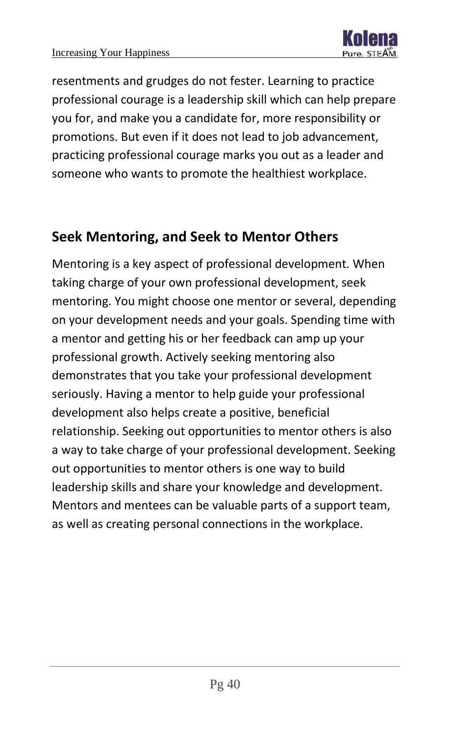

resentments and grudges do not fester. Learning to practice professional courage is a leadership skill which can help prepare you for, and make you a candidate for, more responsibility or promotions. But even if it does not lead to job advancement, practicing professional courage marks you out as a leader and someone who wants to promote the healthiest workplace.

#### **Seek Mentoring, and Seek to Mentor Others**

Mentoring is a key aspect of professional development. When taking charge of your own professional development, seek mentoring. You might choose one mentor or several, depending on your development needs and your goals. Spending time with a mentor and getting his or her feedback can amp up your professional growth. Actively seeking mentoring also demonstrates that you take your professional development seriously. Having a mentor to help guide your professional development also helps create a positive, beneficial relationship. Seeking out opportunities to mentor others is also a way to take charge of your professional development. Seeking out opportunities to mentor others is one way to build leadership skills and share your knowledge and development. Mentors and mentees can be valuable parts of a support team, as well as creating personal connections in the workplace.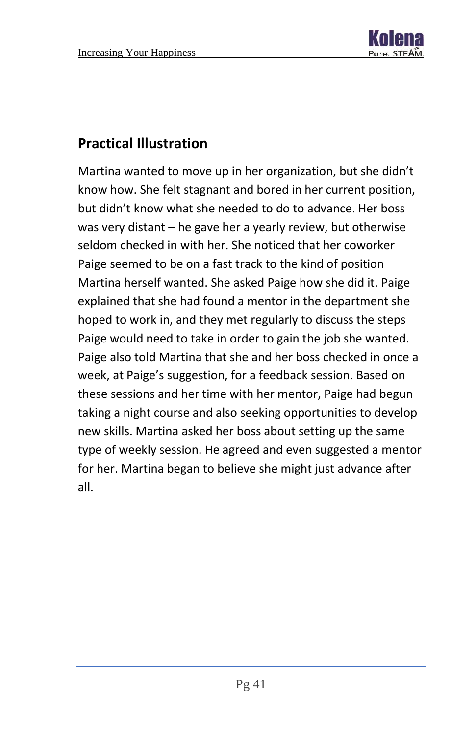

## **Practical Illustration**

Martina wanted to move up in her organization, but she didn't know how. She felt stagnant and bored in her current position, but didn't know what she needed to do to advance. Her boss was very distant – he gave her a yearly review, but otherwise seldom checked in with her. She noticed that her coworker Paige seemed to be on a fast track to the kind of position Martina herself wanted. She asked Paige how she did it. Paige explained that she had found a mentor in the department she hoped to work in, and they met regularly to discuss the steps Paige would need to take in order to gain the job she wanted. Paige also told Martina that she and her boss checked in once a week, at Paige's suggestion, for a feedback session. Based on these sessions and her time with her mentor, Paige had begun taking a night course and also seeking opportunities to develop new skills. Martina asked her boss about setting up the same type of weekly session. He agreed and even suggested a mentor for her. Martina began to believe she might just advance after all.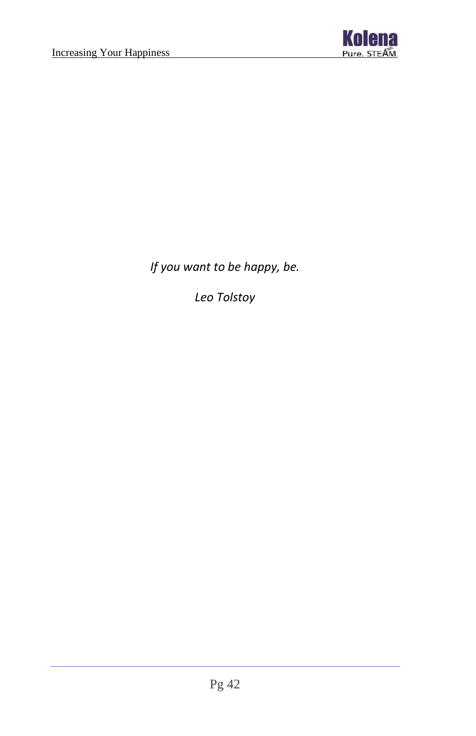

*If you want to be happy, be.*

*Leo Tolstoy*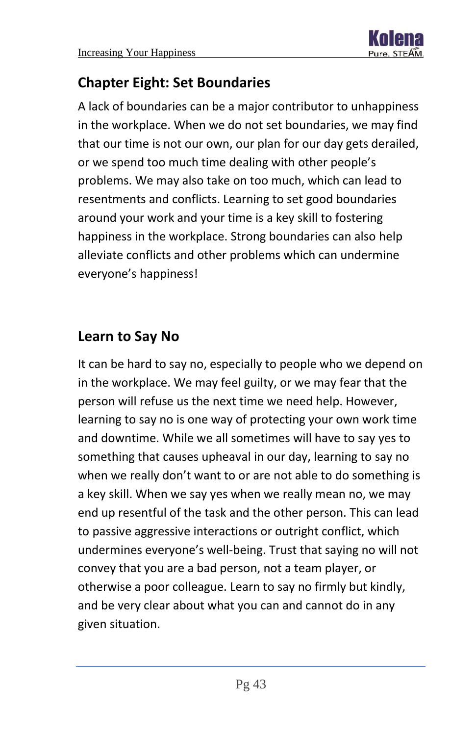

## <span id="page-43-0"></span>**Chapter Eight: Set Boundaries**

A lack of boundaries can be a major contributor to unhappiness in the workplace. When we do not set boundaries, we may find that our time is not our own, our plan for our day gets derailed, or we spend too much time dealing with other people's problems. We may also take on too much, which can lead to resentments and conflicts. Learning to set good boundaries around your work and your time is a key skill to fostering happiness in the workplace. Strong boundaries can also help alleviate conflicts and other problems which can undermine everyone's happiness!

## **Learn to Say No**

It can be hard to say no, especially to people who we depend on in the workplace. We may feel guilty, or we may fear that the person will refuse us the next time we need help. However, learning to say no is one way of protecting your own work time and downtime. While we all sometimes will have to say yes to something that causes upheaval in our day, learning to say no when we really don't want to or are not able to do something is a key skill. When we say yes when we really mean no, we may end up resentful of the task and the other person. This can lead to passive aggressive interactions or outright conflict, which undermines everyone's well-being. Trust that saying no will not convey that you are a bad person, not a team player, or otherwise a poor colleague. Learn to say no firmly but kindly, and be very clear about what you can and cannot do in any given situation.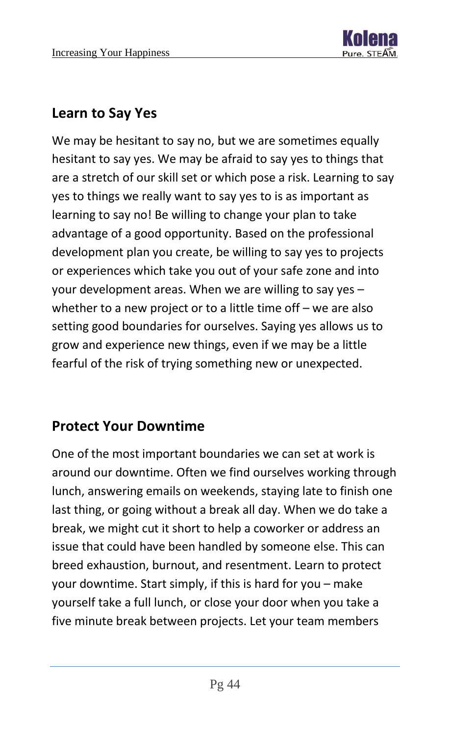

#### **Learn to Say Yes**

We may be hesitant to say no, but we are sometimes equally hesitant to say yes. We may be afraid to say yes to things that are a stretch of our skill set or which pose a risk. Learning to say yes to things we really want to say yes to is as important as learning to say no! Be willing to change your plan to take advantage of a good opportunity. Based on the professional development plan you create, be willing to say yes to projects or experiences which take you out of your safe zone and into your development areas. When we are willing to say yes – whether to a new project or to a little time off – we are also setting good boundaries for ourselves. Saying yes allows us to grow and experience new things, even if we may be a little fearful of the risk of trying something new or unexpected.

## **Protect Your Downtime**

One of the most important boundaries we can set at work is around our downtime. Often we find ourselves working through lunch, answering emails on weekends, staying late to finish one last thing, or going without a break all day. When we do take a break, we might cut it short to help a coworker or address an issue that could have been handled by someone else. This can breed exhaustion, burnout, and resentment. Learn to protect your downtime. Start simply, if this is hard for you – make yourself take a full lunch, or close your door when you take a five minute break between projects. Let your team members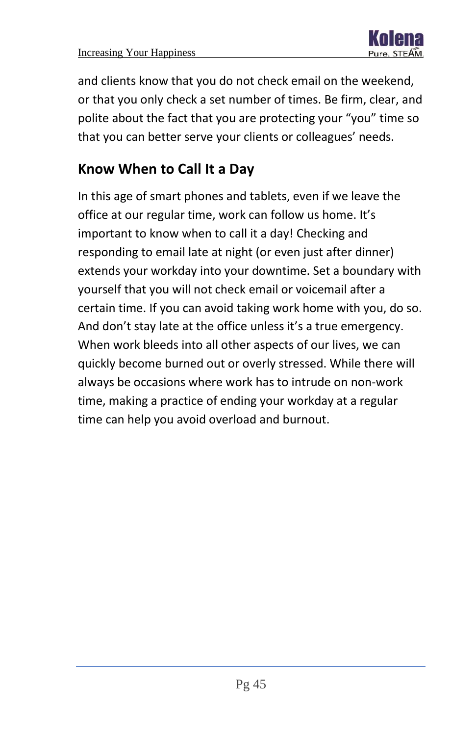

and clients know that you do not check email on the weekend, or that you only check a set number of times. Be firm, clear, and polite about the fact that you are protecting your "you" time so that you can better serve your clients or colleagues' needs.

## **Know When to Call It a Day**

In this age of smart phones and tablets, even if we leave the office at our regular time, work can follow us home. It's important to know when to call it a day! Checking and responding to email late at night (or even just after dinner) extends your workday into your downtime. Set a boundary with yourself that you will not check email or voicemail after a certain time. If you can avoid taking work home with you, do so. And don't stay late at the office unless it's a true emergency. When work bleeds into all other aspects of our lives, we can quickly become burned out or overly stressed. While there will always be occasions where work has to intrude on non-work time, making a practice of ending your workday at a regular time can help you avoid overload and burnout.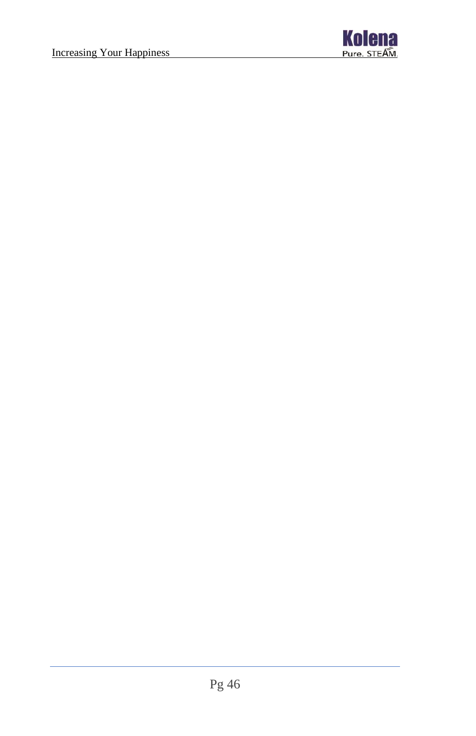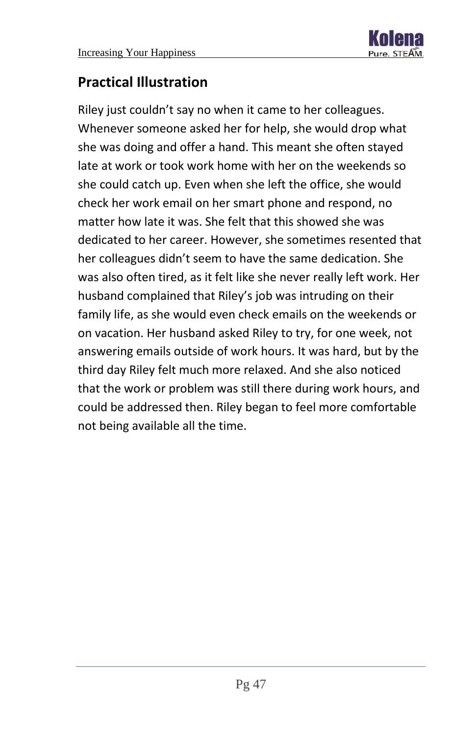

## **Practical Illustration**

Riley just couldn't say no when it came to her colleagues. Whenever someone asked her for help, she would drop what she was doing and offer a hand. This meant she often stayed late at work or took work home with her on the weekends so she could catch up. Even when she left the office, she would check her work email on her smart phone and respond, no matter how late it was. She felt that this showed she was dedicated to her career. However, she sometimes resented that her colleagues didn't seem to have the same dedication. She was also often tired, as it felt like she never really left work. Her husband complained that Riley's job was intruding on their family life, as she would even check emails on the weekends or on vacation. Her husband asked Riley to try, for one week, not answering emails outside of work hours. It was hard, but by the third day Riley felt much more relaxed. And she also noticed that the work or problem was still there during work hours, and could be addressed then. Riley began to feel more comfortable not being available all the time.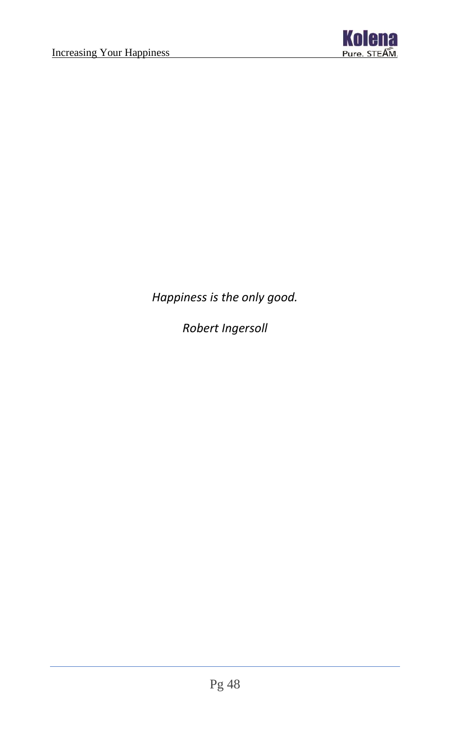

*Happiness is the only good.*

*Robert Ingersoll*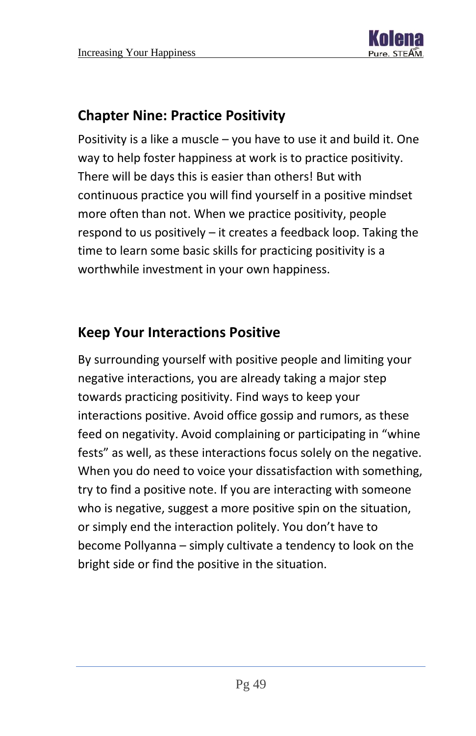

#### <span id="page-49-0"></span>**Chapter Nine: Practice Positivity**

Positivity is a like a muscle – you have to use it and build it. One way to help foster happiness at work is to practice positivity. There will be days this is easier than others! But with continuous practice you will find yourself in a positive mindset more often than not. When we practice positivity, people respond to us positively – it creates a feedback loop. Taking the time to learn some basic skills for practicing positivity is a worthwhile investment in your own happiness.

#### **Keep Your Interactions Positive**

By surrounding yourself with positive people and limiting your negative interactions, you are already taking a major step towards practicing positivity. Find ways to keep your interactions positive. Avoid office gossip and rumors, as these feed on negativity. Avoid complaining or participating in "whine fests" as well, as these interactions focus solely on the negative. When you do need to voice your dissatisfaction with something, try to find a positive note. If you are interacting with someone who is negative, suggest a more positive spin on the situation, or simply end the interaction politely. You don't have to become Pollyanna – simply cultivate a tendency to look on the bright side or find the positive in the situation.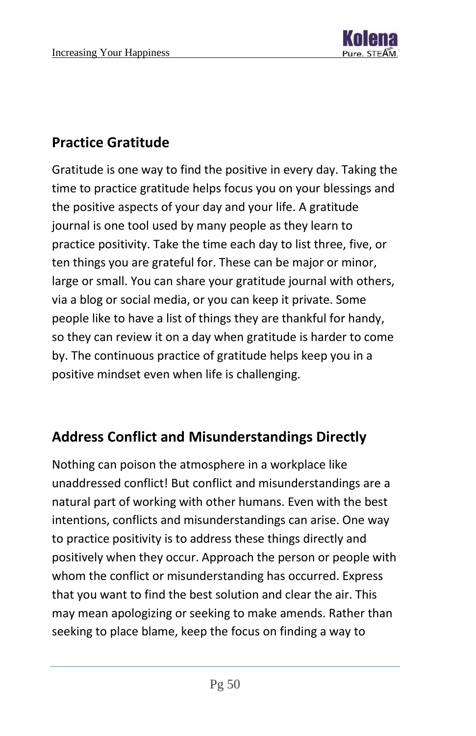

## **Practice Gratitude**

Gratitude is one way to find the positive in every day. Taking the time to practice gratitude helps focus you on your blessings and the positive aspects of your day and your life. A gratitude journal is one tool used by many people as they learn to practice positivity. Take the time each day to list three, five, or ten things you are grateful for. These can be major or minor, large or small. You can share your gratitude journal with others, via a blog or social media, or you can keep it private. Some people like to have a list of things they are thankful for handy, so they can review it on a day when gratitude is harder to come by. The continuous practice of gratitude helps keep you in a positive mindset even when life is challenging.

## **Address Conflict and Misunderstandings Directly**

Nothing can poison the atmosphere in a workplace like unaddressed conflict! But conflict and misunderstandings are a natural part of working with other humans. Even with the best intentions, conflicts and misunderstandings can arise. One way to practice positivity is to address these things directly and positively when they occur. Approach the person or people with whom the conflict or misunderstanding has occurred. Express that you want to find the best solution and clear the air. This may mean apologizing or seeking to make amends. Rather than seeking to place blame, keep the focus on finding a way to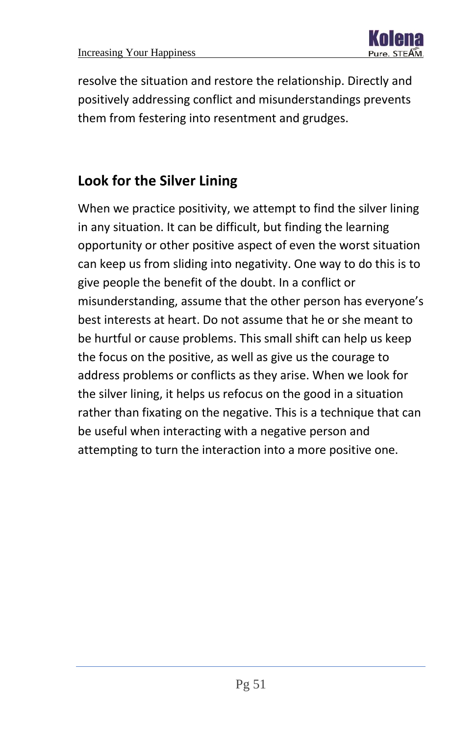

resolve the situation and restore the relationship. Directly and positively addressing conflict and misunderstandings prevents them from festering into resentment and grudges.

## **Look for the Silver Lining**

When we practice positivity, we attempt to find the silver lining in any situation. It can be difficult, but finding the learning opportunity or other positive aspect of even the worst situation can keep us from sliding into negativity. One way to do this is to give people the benefit of the doubt. In a conflict or misunderstanding, assume that the other person has everyone's best interests at heart. Do not assume that he or she meant to be hurtful or cause problems. This small shift can help us keep the focus on the positive, as well as give us the courage to address problems or conflicts as they arise. When we look for the silver lining, it helps us refocus on the good in a situation rather than fixating on the negative. This is a technique that can be useful when interacting with a negative person and attempting to turn the interaction into a more positive one.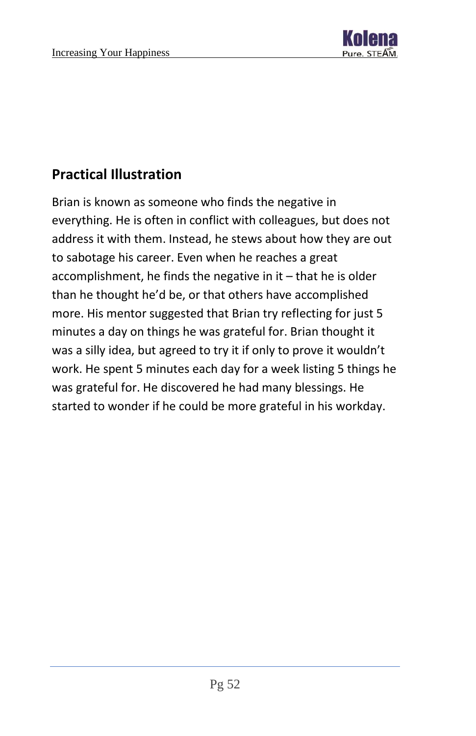

## **Practical Illustration**

Brian is known as someone who finds the negative in everything. He is often in conflict with colleagues, but does not address it with them. Instead, he stews about how they are out to sabotage his career. Even when he reaches a great accomplishment, he finds the negative in it – that he is older than he thought he'd be, or that others have accomplished more. His mentor suggested that Brian try reflecting for just 5 minutes a day on things he was grateful for. Brian thought it was a silly idea, but agreed to try it if only to prove it wouldn't work. He spent 5 minutes each day for a week listing 5 things he was grateful for. He discovered he had many blessings. He started to wonder if he could be more grateful in his workday.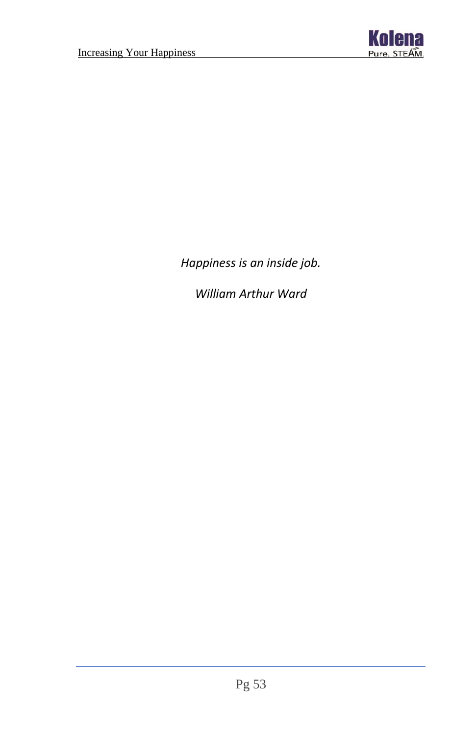

*Happiness is an inside job.*

*William Arthur Ward*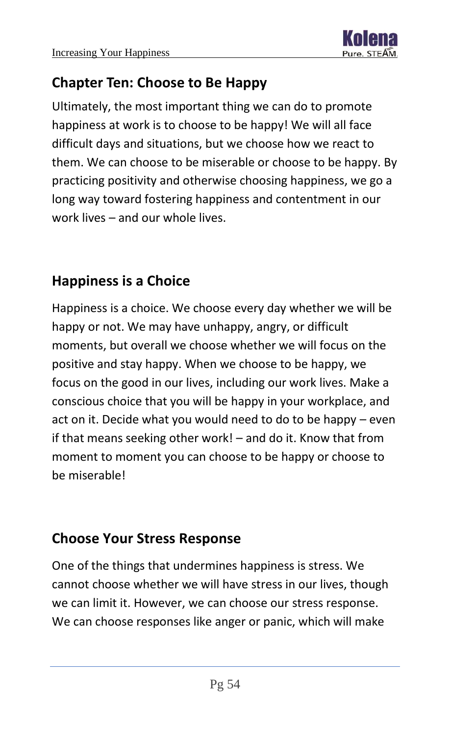

#### <span id="page-54-0"></span>**Chapter Ten: Choose to Be Happy**

Ultimately, the most important thing we can do to promote happiness at work is to choose to be happy! We will all face difficult days and situations, but we choose how we react to them. We can choose to be miserable or choose to be happy. By practicing positivity and otherwise choosing happiness, we go a long way toward fostering happiness and contentment in our work lives – and our whole lives.

## **Happiness is a Choice**

Happiness is a choice. We choose every day whether we will be happy or not. We may have unhappy, angry, or difficult moments, but overall we choose whether we will focus on the positive and stay happy. When we choose to be happy, we focus on the good in our lives, including our work lives. Make a conscious choice that you will be happy in your workplace, and act on it. Decide what you would need to do to be happy – even if that means seeking other work! – and do it. Know that from moment to moment you can choose to be happy or choose to be miserable!

#### **Choose Your Stress Response**

One of the things that undermines happiness is stress. We cannot choose whether we will have stress in our lives, though we can limit it. However, we can choose our stress response. We can choose responses like anger or panic, which will make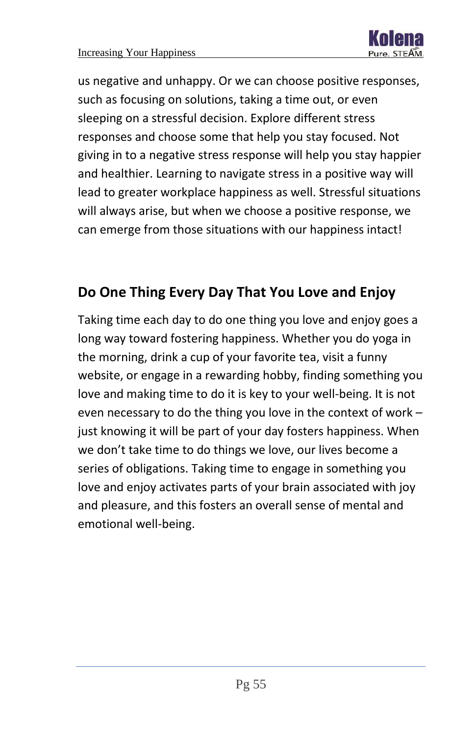

us negative and unhappy. Or we can choose positive responses, such as focusing on solutions, taking a time out, or even sleeping on a stressful decision. Explore different stress responses and choose some that help you stay focused. Not giving in to a negative stress response will help you stay happier and healthier. Learning to navigate stress in a positive way will lead to greater workplace happiness as well. Stressful situations will always arise, but when we choose a positive response, we can emerge from those situations with our happiness intact!

## **Do One Thing Every Day That You Love and Enjoy**

Taking time each day to do one thing you love and enjoy goes a long way toward fostering happiness. Whether you do yoga in the morning, drink a cup of your favorite tea, visit a funny website, or engage in a rewarding hobby, finding something you love and making time to do it is key to your well-being. It is not even necessary to do the thing you love in the context of work – just knowing it will be part of your day fosters happiness. When we don't take time to do things we love, our lives become a series of obligations. Taking time to engage in something you love and enjoy activates parts of your brain associated with joy and pleasure, and this fosters an overall sense of mental and emotional well-being.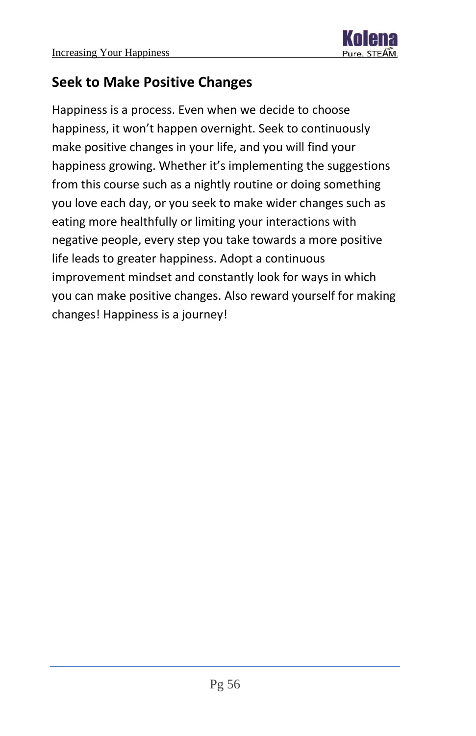

#### **Seek to Make Positive Changes**

Happiness is a process. Even when we decide to choose happiness, it won't happen overnight. Seek to continuously make positive changes in your life, and you will find your happiness growing. Whether it's implementing the suggestions from this course such as a nightly routine or doing something you love each day, or you seek to make wider changes such as eating more healthfully or limiting your interactions with negative people, every step you take towards a more positive life leads to greater happiness. Adopt a continuous improvement mindset and constantly look for ways in which you can make positive changes. Also reward yourself for making changes! Happiness is a journey!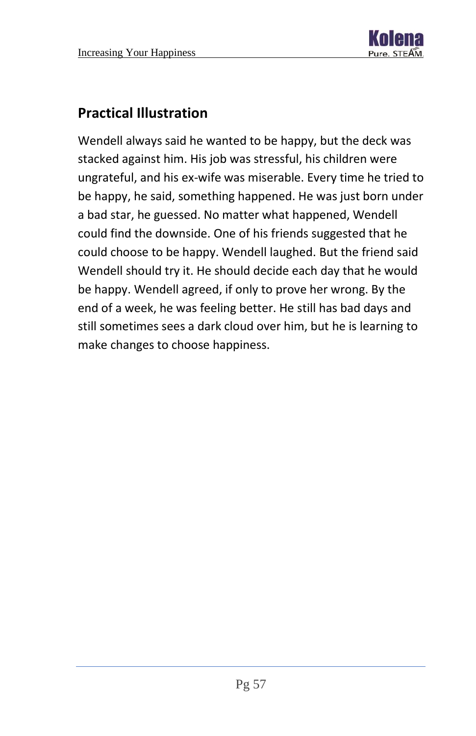

## **Practical Illustration**

Wendell always said he wanted to be happy, but the deck was stacked against him. His job was stressful, his children were ungrateful, and his ex-wife was miserable. Every time he tried to be happy, he said, something happened. He was just born under a bad star, he guessed. No matter what happened, Wendell could find the downside. One of his friends suggested that he could choose to be happy. Wendell laughed. But the friend said Wendell should try it. He should decide each day that he would be happy. Wendell agreed, if only to prove her wrong. By the end of a week, he was feeling better. He still has bad days and still sometimes sees a dark cloud over him, but he is learning to make changes to choose happiness.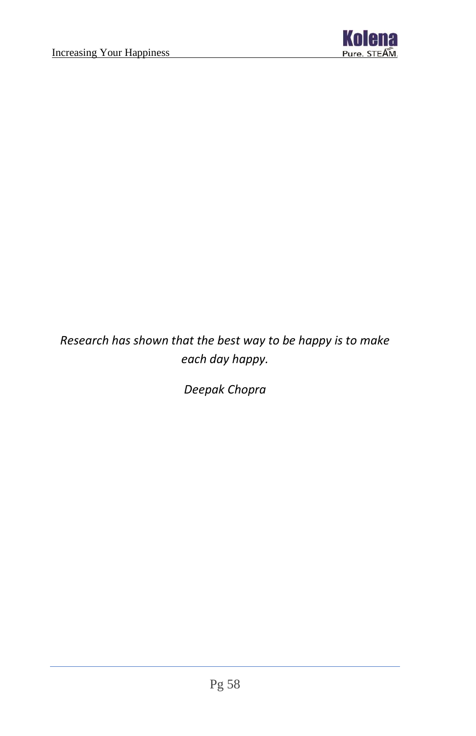

*Research has shown that the best way to be happy is to make each day happy.*

*Deepak Chopra*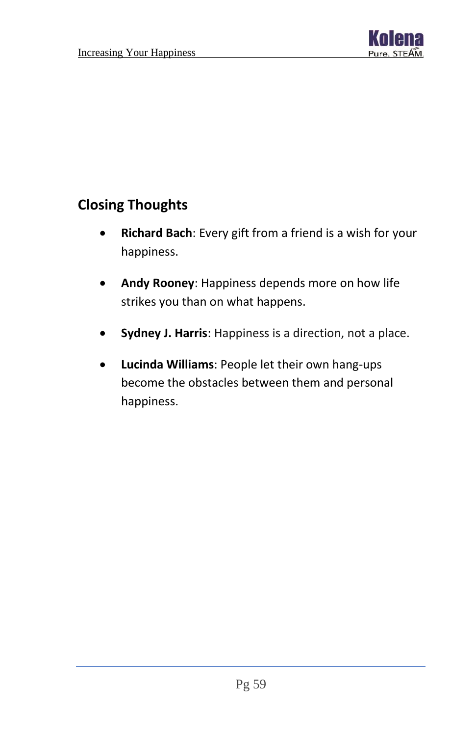

## **Closing Thoughts**

- **Richard Bach**: Every gift from a friend is a wish for your happiness.
- **Andy Rooney**: Happiness depends more on how life strikes you than on what happens.
- **Sydney J. Harris**: Happiness is a direction, not a place.
- **Lucinda Williams**: People let their own hang-ups become the obstacles between them and personal happiness.